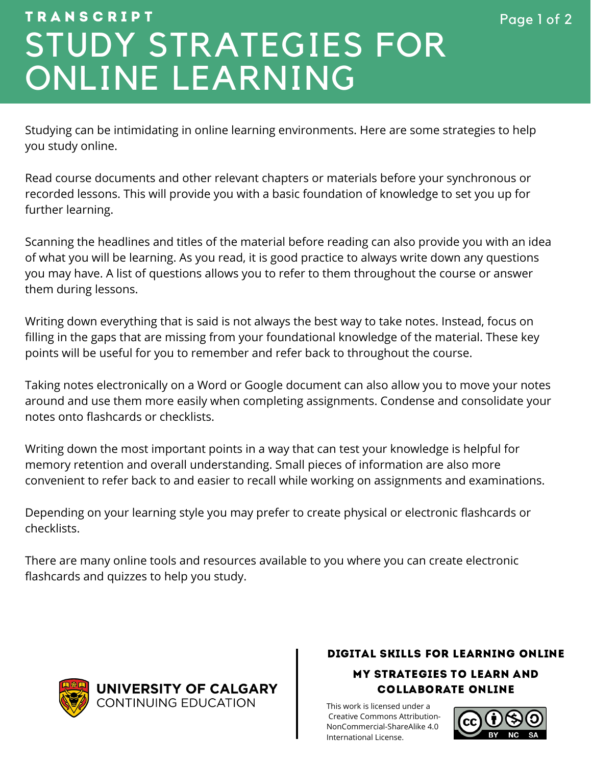# STUDY STRATEGIES FOR ONLINE LEARNING  $$

Studying can be intimidating in online learning environments. Here are some strategies to help you study online.

Read course documents and other relevant chapters or materials before your synchronous or recorded lessons. This will provide you with a basic foundation of knowledge to set you up for further learning.

Scanning the headlines and titles of the material before reading can also provide you with an idea of what you will be learning. As you read, it is good practice to always write down any questions you may have. A list of questions allows you to refer to them throughout the course or answer them during lessons.

Writing down everything that is said is not always the best way to take notes. Instead, focus on filling in the gaps that are missing from your foundational knowledge of the material. These key points will be useful for you to remember and refer back to throughout the course.

Taking notes electronically on a Word or Google document can also allow you to move your notes around and use them more easily when completing assignments. Condense and consolidate your notes onto flashcards or checklists.

Writing down the most important points in a way that can test your knowledge is helpful for memory retention and overall understanding. Small pieces of information are also more convenient to refer back to and easier to recall while working on assignments and examinations.

Depending on your learning style you may prefer to create physical or electronic flashcards or checklists.

There are many online tools and resources available to you where you can create electronic flashcards and quizzes to help you study.



UNIVERSITY OF CALGARY **CONTINUING EDUCATION** 

### DIGITAL SKILLS FOR LEARNING ONLINE

MY STRATEGIES TO LEARN AND COLLABORATE ONLINE

This work is licensed under a [Creative Commons Attribution-](https://creativecommons.org/licenses/by-nc/4.0/)NonCommercial-ShareAlike 4.0 International License.